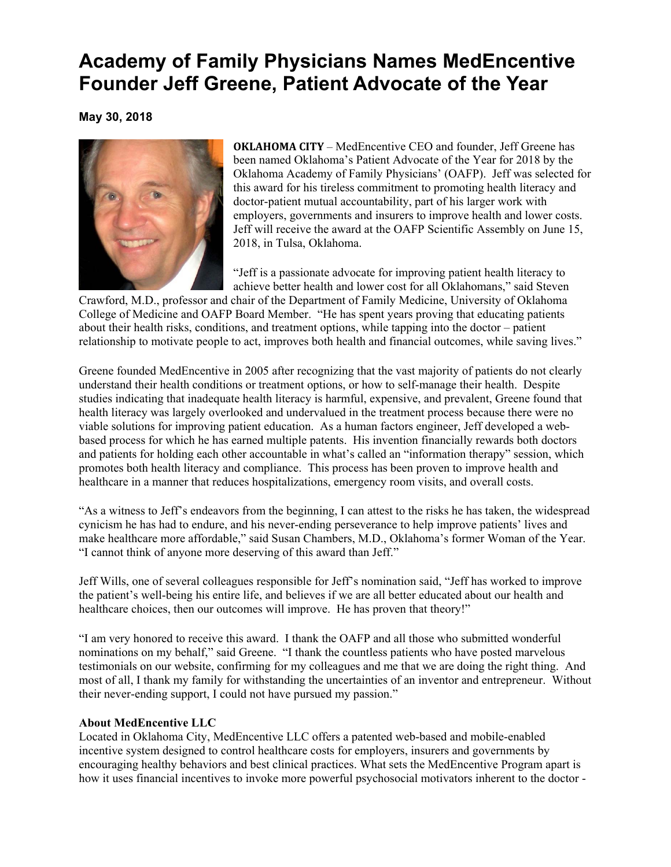## **Academy of Family Physicians Names MedEncentive Founder Jeff Greene, Patient Advocate of the Year**

**May 30, 2018**



**OKLAHOMA CITY** – MedEncentive CEO and founder, Jeff Greene has been named Oklahoma's Patient Advocate of the Year for 2018 by the Oklahoma Academy of Family Physicians' (OAFP). Jeff was selected for this award for his tireless commitment to promoting health literacy and doctor-patient mutual accountability, part of his larger work with employers, governments and insurers to improve health and lower costs. Jeff will receive the award at the OAFP Scientific Assembly on June 15, 2018, in Tulsa, Oklahoma.

"Jeff is a passionate advocate for improving patient health literacy to achieve better health and lower cost for all Oklahomans," said Steven

Crawford, M.D., professor and chair of the Department of Family Medicine, University of Oklahoma College of Medicine and OAFP Board Member. "He has spent years proving that educating patients about their health risks, conditions, and treatment options, while tapping into the doctor – patient relationship to motivate people to act, improves both health and financial outcomes, while saving lives."

Greene founded MedEncentive in 2005 after recognizing that the vast majority of patients do not clearly understand their health conditions or treatment options, or how to self-manage their health. Despite studies indicating that inadequate health literacy is harmful, expensive, and prevalent, Greene found that health literacy was largely overlooked and undervalued in the treatment process because there were no viable solutions for improving patient education. As a human factors engineer, Jeff developed a webbased process for which he has earned multiple patents. His invention financially rewards both doctors and patients for holding each other accountable in what's called an "information therapy" session, which promotes both health literacy and compliance. This process has been proven to improve health and healthcare in a manner that reduces hospitalizations, emergency room visits, and overall costs.

"As a witness to Jeff's endeavors from the beginning, I can attest to the risks he has taken, the widespread cynicism he has had to endure, and his never-ending perseverance to help improve patients' lives and make healthcare more affordable," said Susan Chambers, M.D., Oklahoma's former Woman of the Year. "I cannot think of anyone more deserving of this award than Jeff."

Jeff Wills, one of several colleagues responsible for Jeff's nomination said, "Jeff has worked to improve the patient's well-being his entire life, and believes if we are all better educated about our health and healthcare choices, then our outcomes will improve. He has proven that theory!"

"I am very honored to receive this award. I thank the OAFP and all those who submitted wonderful nominations on my behalf," said Greene. "I thank the countless patients who have posted marvelous testimonials on our website, confirming for my colleagues and me that we are doing the right thing. And most of all, I thank my family for withstanding the uncertainties of an inventor and entrepreneur. Without their never-ending support, I could not have pursued my passion."

## **About MedEncentive LLC**

Located in Oklahoma City, MedEncentive LLC offers a patented web-based and mobile-enabled incentive system designed to control healthcare costs for employers, insurers and governments by encouraging healthy behaviors and best clinical practices. What sets the MedEncentive Program apart is how it uses financial incentives to invoke more powerful psychosocial motivators inherent to the doctor -